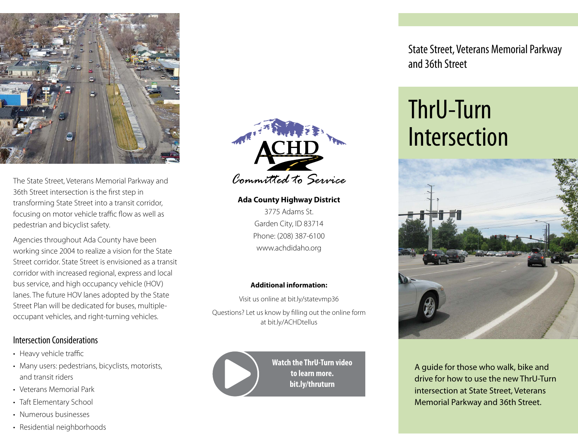

The State Street, Veterans Memorial Parkway and 36th Street intersection is the first step in transforming State Street into a transit corridor, focusing on motor vehicle traffic flow as well as pedestrian and bicyclist safety.

Agencies throughout Ada County have been working since 2004 to realize a vision for the State Street corridor. State Street is envisioned as a transit corridor with increased regional, express and local bus service, and high occupancy vehicle (HOV) lanes. The future HOV lanes adopted by the State Street Plan will be dedicated for buses, multipleoccupant vehicles, and right-turning vehicles.

### Intersection Considerations

- Heavy vehicle traffic
- Many users: pedestrians, bicyclists, motorists, and transit riders
- Veterans Memorial Park
- Taft Elementary School
- Numerous businesses
- Residential neighborhoods



### **Ada County Highway District**

3775 Adams St. Garden City, ID 83714 Phone: (208) 387-6100 www.achdidaho.org

#### **Additional information:**

Visit us online at bit.ly/statevmp36 Questions? Let us know by filling out the online form at bit.ly/ACHDtellus



**Watch the ThrU-Turn video to learn more. bit.ly/thruturn**

State Street, Veterans Memorial Parkway and 36th Street

# ThrU-Turn Intersection



A guide for those who walk, bike and drive for how to use the new ThrU-Turn intersection at State Street, Veterans Memorial Parkway and 36th Street.